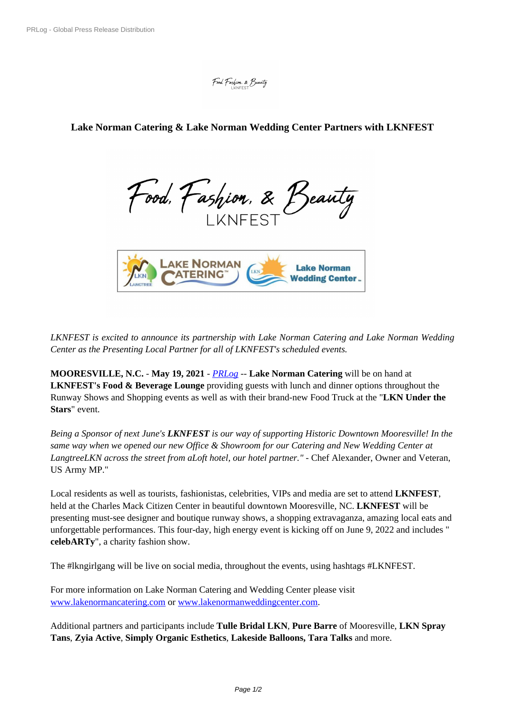## **Lake Norman Catering & La[ke Norman Weddin](https://biz.prlog.org/LKNFEST/)g Center Partners with LKNFEST**

Food, Fashion, & Beauty



*LKNFEST is e[xcited to announce its partnership with Lake Norman Catering and La](https://www.prlog.org/12870284-lknfest-partners-with-lake-norman-catering.jpg)ke Norman Wedding Center as the Presenting Local Partner for all of LKNFEST's scheduled events.*

**MOORESVILLE, N.C.** - **May 19, 2021** - *PRLog* -- **Lake Norman Catering** will be on hand at **LKNFEST's Food & Beverage Lounge** providing guests with lunch and dinner options throughout the Runway Shows and Shopping events as well as with their brand-new Food Truck at the "**LKN Under the Stars**" event.

*Being a Sponsor of next June's LKNFEST is our way of supporting Historic Downtown Mooresville! In the same way when we opened our new Office & Showroom for our Catering and New Wedding Center at LangtreeLKN across the street from aLoft hotel, our hotel partner." -* Chef Alexander, Owner and Veteran, US Army MP."

Local residents as well as tourists, fashionistas, celebrities, VIPs and media are set to attend **LKNFEST**, held at the Charles Mack Citizen Center in beautiful downtown Mooresville, NC. **LKNFEST** will be presenting must-see designer and boutique runway shows, a shopping extravaganza, amazing local eats and unforgettable performances. This four-day, high energy event is kicking off on June 9, 2022 and includes " **celebARTy**", a charity fashion show.

The #lkngirlgang will be live on social media, throughout the events, using hashtags #LKNFEST.

For more information on Lake Norman Catering and Wedding Center please visit www.lakenormancatering.com or www.lakenormanweddingcenter.com.

Additional partners and participants include **Tulle Bridal LKN**, **Pure Barre** of Mooresville, **LKN Spray Tans**, **[Zyia Active](http://www.lakenormancatering.com)**, **Simply Organic Esthetics**, **[Lakeside Balloons, Ta](http://www.lakenormanweddingcenter.com)ra Talks** and more.